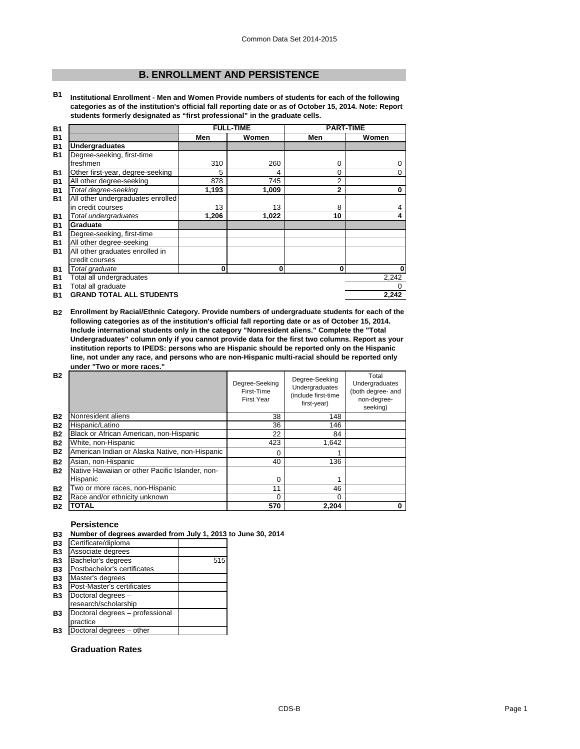# **B. ENROLLMENT AND PERSISTENCE**

**B1 Institutional Enrollment - Men and Women Provide numbers of students for each of the following categories as of the institution's official fall reporting date or as of October 15, 2014. Note: Report students formerly designated as "first professional" in the graduate cells.**

| <b>B1</b> | <b>FULL-TIME</b>                  |       |          |              | <b>PART-TIME</b> |  |
|-----------|-----------------------------------|-------|----------|--------------|------------------|--|
| <b>B1</b> |                                   | Men   | Women    | Men          | Women            |  |
| <b>B1</b> | <b>Undergraduates</b>             |       |          |              |                  |  |
| <b>B1</b> | Degree-seeking, first-time        |       |          |              |                  |  |
|           | freshmen                          | 310   | 260      | 0            | 0                |  |
| <b>B1</b> | Other first-year, degree-seeking  | 5     | 4        | 0            | $\Omega$         |  |
| <b>B1</b> | All other degree-seeking          | 878   | 745      | 2            |                  |  |
| <b>B1</b> | Total degree-seeking              | 1,193 | 1,009    | $\mathbf{2}$ | $\bf{0}$         |  |
| <b>B1</b> | All other undergraduates enrolled |       |          |              |                  |  |
|           | in credit courses                 | 13    | 13       | 8            | 4                |  |
| <b>B1</b> | Total undergraduates              | 1,206 | 1,022    | 10           | 4                |  |
| <b>B1</b> | Graduate                          |       |          |              |                  |  |
| <b>B1</b> | Degree-seeking, first-time        |       |          |              |                  |  |
| <b>B1</b> | All other degree-seeking          |       |          |              |                  |  |
| <b>B1</b> | All other graduates enrolled in   |       |          |              |                  |  |
|           | credit courses                    |       |          |              |                  |  |
| <b>B1</b> | Total graduate                    | 0     | $\bf{0}$ | 0            | $\bf{0}$         |  |
| <b>B1</b> | Total all undergraduates          |       |          |              | 2,242            |  |
| <b>B1</b> | Total all graduate                |       |          |              |                  |  |
| <b>B1</b> | <b>GRAND TOTAL ALL STUDENTS</b>   |       |          |              | 2.242            |  |

**B2 Enrollment by Racial/Ethnic Category. Provide numbers of undergraduate students for each of the following categories as of the institution's official fall reporting date or as of October 15, 2014. Include international students only in the category "Nonresident aliens." Complete the "Total Undergraduates" column only if you cannot provide data for the first two columns. Report as your institution reports to IPEDS: persons who are Hispanic should be reported only on the Hispanic line, not under any race, and persons who are non-Hispanic multi-racial should be reported only under "Two or more races."** 

| <b>B2</b> |                                                 | Degree-Seeking<br>First-Time<br>First Year | Degree-Seeking<br>Undergraduates<br>(include first-time<br>first-year) | Total<br>Undergraduates<br>(both degree- and<br>non-degree-<br>seeking) |
|-----------|-------------------------------------------------|--------------------------------------------|------------------------------------------------------------------------|-------------------------------------------------------------------------|
| <b>B2</b> | Nonresident aliens                              | 38                                         | 148                                                                    |                                                                         |
| <b>B2</b> | Hispanic/Latino                                 | 36                                         | 146                                                                    |                                                                         |
| <b>B2</b> | Black or African American, non-Hispanic         | 22                                         | 84                                                                     |                                                                         |
| <b>B2</b> | White, non-Hispanic                             | 423                                        | 1.642                                                                  |                                                                         |
| <b>B2</b> | American Indian or Alaska Native, non-Hispanic  | $\Omega$                                   |                                                                        |                                                                         |
| <b>B2</b> | Asian, non-Hispanic                             | 40                                         | 136                                                                    |                                                                         |
| <b>B2</b> | Native Hawaiian or other Pacific Islander, non- |                                            |                                                                        |                                                                         |
|           | Hispanic                                        | $\Omega$                                   |                                                                        |                                                                         |
| <b>B2</b> | Two or more races, non-Hispanic                 | 11                                         | 46                                                                     |                                                                         |
| <b>B2</b> | Race and/or ethnicity unknown                   | $\Omega$                                   | 0                                                                      |                                                                         |
| <b>B2</b> | <b>TOTAL</b>                                    | 570                                        | 2,204                                                                  |                                                                         |

## **Persistence**

| <b>B3</b> | Number of degrees awarded from July 1, 2013 to June 30, 2014 |  |
|-----------|--------------------------------------------------------------|--|
|           |                                                              |  |

| <b>B3</b>      | Certificate/diploma             |     |
|----------------|---------------------------------|-----|
| <b>B3</b>      | Associate degrees               |     |
| <b>B3</b>      | Bachelor's degrees              | 515 |
| <b>B3</b>      | Postbachelor's certificates     |     |
| <b>B3</b>      | Master's degrees                |     |
| <b>B3</b>      | Post-Master's certificates      |     |
| B <sub>3</sub> | Doctoral degrees -              |     |
|                | research/scholarship            |     |
| B <sub>3</sub> | Doctoral degrees - professional |     |
|                | practice                        |     |
| Β3             | Doctoral degrees - other        |     |
|                |                                 |     |

## **Graduation Rates**